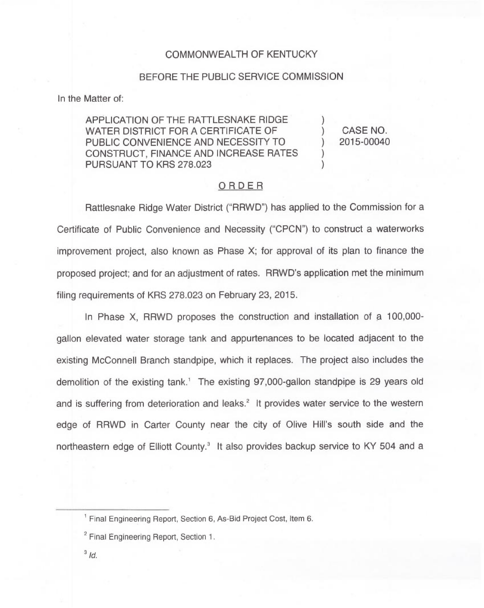#### COMMONWEALTH OF KENTUCKY

#### BEFORE THE PUBLIC SERVICE COMMISSION

In the Matter of:

APPLICATION OF THE RATTLESNAKE RIDGE WATER DISTRICT FOR A CERTIFICATE OF PUBLIC CONVENIENCE AND NECESSITY TO CONSTRUCT, FINANCE AND INCREASE RATES PURSUANT TO KRS 278.023

) CASE NO. ) 2015-00040

)

) )

#### ORDER

Rattlesnake Ridge Water District ("RRWD") has applied to the Commission for a Certificate of Public Convenience and Necessity ("CPCN") to construct a waterworks improvement project, also known as Phase X; for approval of its plan to finance the proposed project; and for an adjustment of rates. RRWD's application met the minimum filing requirements of KRS 278.023 on February 23, 2015.

In Phase X, RRWD proposes the construction and installation of a 100,000 gallon elevated water storage tank and appurtenances to be located adjacent to the existing McConnell Branch standpipe, which it replaces. The project also includes the demolition of the existing tank.<sup>1</sup> The existing 97,000-gallon standpipe is 29 years old and is suffering from deterioration and leaks.<sup>2</sup> It provides water service to the western edge of RRWD in Carter County near the city of Olive Hill's south side and the northeastern edge of Elliott County.<sup>3</sup> It also provides backup service to KY 504 and a

 $3/d$ .

<sup>&</sup>lt;sup>1</sup> Final Engineering Report, Section 6, As-Bid Project Cost, Item 6.

<sup>&</sup>lt;sup>2</sup> Final Engineering Report, Section 1.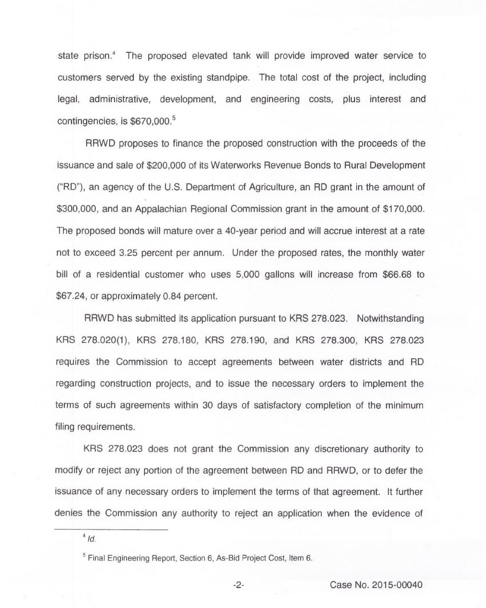state prison.<sup>4</sup> The proposed elevated tank will provide improved water service to customers served by the existing standpipe. The total cost of the project, including legal, administrative, development, and engineering costs, plus interest and contingencies, is \$670,000.<sup>5</sup>

RRWD proposes to finance the proposed construction with the proceeds of the issuance and sale of \$200,000 of its Waterworks Revenue Bonds to Rural Development ("RD"), an agency of the U.S. Department of Agriculture, an RD grant in the amount of \$300,000, and an Appalachian Regional Commission grant in the amount of \$170,000. The proposed bonds will mature over a 40-year period and will accrue interest at a rate not to exceed 3.25 percent per annum. Under the proposed rates, the monthly water bill of a residential customer who uses 5,000 gallons will increase from \$66.68 to \$67.24, or approximately 0.84 percent.

RRWD has submitted its application pursuant to KRS 278.023. Notwithstanding KRS 278.020(1), KRS 278.180, KRS 278.190, and KRS 278.300, KRS 278.023 requires the Commission to accept agreements between water districts and RD regarding construction projects, and to issue the necessary orders to implement the terms of such agreements within 30 days of satisfactory completion of the minimum filing requirements.

KRS 278.023 does not grant the Commission any discretionary authority to modify or reject any portion of the agreement between RD and RRWD, or to defer the issuance of any necessary orders to implement the terms of that agreement. It further denies the Commission any authority to reject an application when the evidence of

 $4$  Id.

<sup>&</sup>lt;sup>5</sup> Final Engineering Report, Section 6, As-Bid Project Cost, Item 6.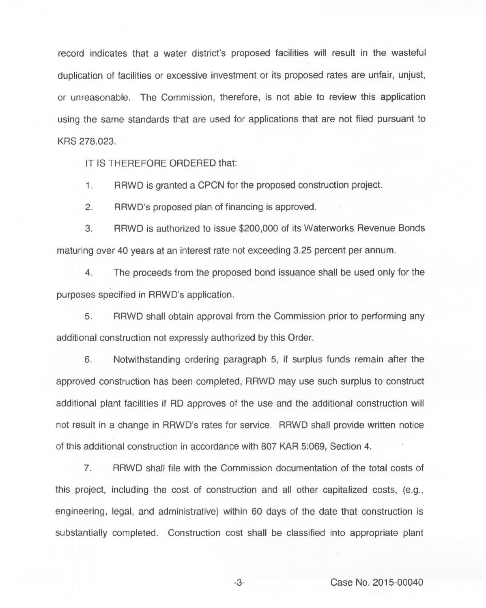record indicates that a water district's proposed facilities will result in the wasteful duplication of facilities or excessive investment or its proposed rates are unfair, unjust, or unreasonable. The Commission, therefore, is not able to review this application using the same standards that are used for applications that are not filed pursuant to KRS 278.023.

IT IS THEREFORE ORDERED that:

1. RRWD is granted a CPCN for the proposed construction project.

2. RRWD's proposed plan of financing is approved.

3. RRWD is authorized to issue \$200,000 of its Waterworks Revenue Bonds maturing over 40 years at an interest rate not exceeding 3.25 percent per annum.

4. The proceeds from the proposed bond issuance shall be used only for the purposes specified in RRWD's application.

5. RRWD shall obtain approval from the Commission prior to performing any additional construction not expressly authorized by this Order.

6. Notwithstanding ordering paragraph 5, if surplus funds remain after the approved construction has been completed, RRWD may use such surplus to construct additional plant facilities if RD approves of the use and the additional construction will not result in a change in RRWD's rates for service. RRWD shall provide written notice of this additional construction in accordance with 807 KAR 5:069, Section 4.

7. RRWD shall file with the Commission documentation of the total costs of this project, including the cost of construction and all other capitalized costs, (e.g., engineering, legal, and administrative) within 60 days of the date that construction is substantially completed. Construction cost shall be classified into appropriate plant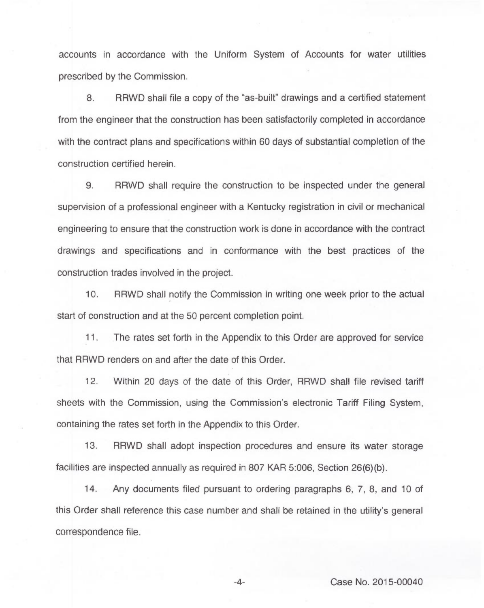accounts in accordance with the Uniform System of Accounts for water utilities prescribed by the Commission.

8. RRWD shall file a copy of the "as-built" drawings and a certified statement from the engineer that the construction has been satisfactorily completed in accordance with the contract plans and specifications within 60 days of substantial completion of the construction certified herein.

9. RRWD shall require the construction to be inspected under the general supervision of a professional engineer with a Kentucky registration in civil or mechanical engineering to ensure that the construction work is done in accordance with the contract drawings and specifications and in conformance with the best practices of the construction trades involved in the project.

10. RRWD shall notify the Commission in writing one week prior to the actual start of construction and at the 50 percent completion point.

11. The rates set forth in the Appendix to this Order are approved for service that RRWD renders on and after the date of this Order.

12. Within 20 days of the date of this Order, RRWD shall file revised tariff sheets with the Commission, using the Commission's electronic Tariff Filing System, containing the rates set forth in the Appendix to this Order.

13. RRWD shall adopt inspection procedures and ensure its water storage facilities are inspected annually as required in 807 KAR 5:006, Section 26(6)(b).

14. Any documents filed pursuant to ordering paragraphs 6, 7, 8, and 10 of this Order shall reference this case number and shall be retained in the utility's general correspondence file.

-4- Case No. 2015-00040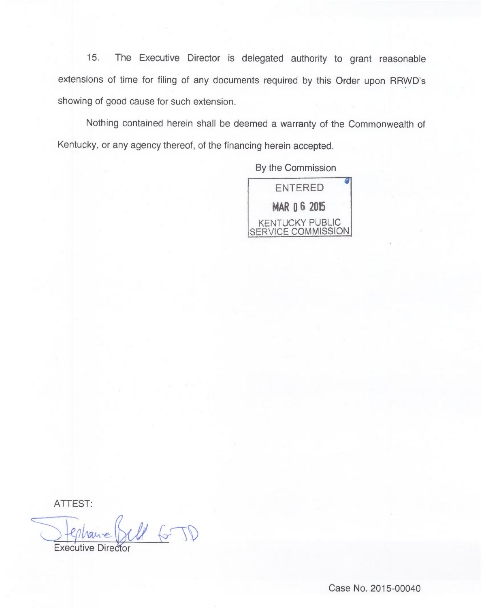15. The Executive Director is delegated authority to grant reasonable extensions of time for filing of any documents required by this Order upon RRWD's showing of good cause for such extension.

Nothing contained herein shall be deemed a warranty of the Commonwealth of Kentucky, or any agency thereof, of the financing herein accepted.

By the Commission



ATTEST:

Executive Director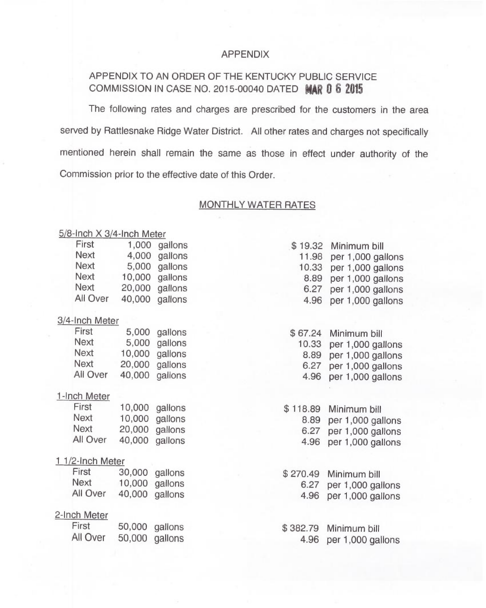### APPENDIX

# APPENDIX TO AN ORDER OF THE KENTUCKY PUBLIC SERVICE COMMISSION IN CASE NO. 2015-00040 DATED MAR 0 6 2015

The following rates and charges are prescribed for the customers in the area served by Rattlesnake Ridge Water District. All other rates and charges not specifically mentioned herein shall remain the same as those in effect under authority of the Commission prior to the effective date of this Order.

### MONTHLY WATER RATES

#### <u>5/8-Inch X 3/4-Inch Mete</u>

| First            | 1,000  | gallons | \$19.32  | Minimum bill      |
|------------------|--------|---------|----------|-------------------|
| <b>Next</b>      | 4,000  | gallons | 11.98    | per 1,000 gallon  |
| <b>Next</b>      | 5,000  | gallons | 10.33    | per 1,000 gallon  |
| <b>Next</b>      | 10,000 | gallons | 8.89     | per 1,000 gallon  |
| <b>Next</b>      | 20,000 | gallons | 6.27     | per 1,000 gallon  |
| All Over         | 40,000 | gallons | 4.96     | per 1,000 gallon: |
| 3/4-Inch Meter   |        |         |          |                   |
| First            | 5,000  | gallons | \$67.24  | Minimum bill      |
| <b>Next</b>      | 5,000  | gallons | 10.33    | per 1,000 gallons |
| <b>Next</b>      | 10,000 | gallons | 8.89     | per 1,000 gallons |
| <b>Next</b>      | 20,000 | gallons | 6.27     | per 1,000 gallons |
| All Over         | 40,000 | gallons | 4.96     | per 1,000 gallons |
| 1-Inch Meter     |        |         |          |                   |
| First            | 10,000 | gallons | \$118.89 | Minimum bill      |
| <b>Next</b>      | 10,000 | gallons | 8.89     | per 1,000 gallons |
| <b>Next</b>      | 20,000 | gallons | 6.27     | per 1,000 gallons |
| All Over         | 40,000 | gallons | 4.96     | per 1,000 gallons |
| 1 1/2-Inch Meter |        |         |          |                   |
| First            | 30,000 | gallons | \$270.49 | Minimum bill      |
| <b>Next</b>      | 10,000 | gallons | 6.27     | per 1,000 gallons |
| All Over         | 40,000 | gallons | 4.96     | per 1,000 gallons |
| 2-Inch Meter     |        |         |          |                   |
| First            | 50,000 | gallons | \$382.79 | Minimum bill      |
| All Over         | 50,000 | gallons | 4.96     | per 1,000 gallons |
|                  |        |         |          |                   |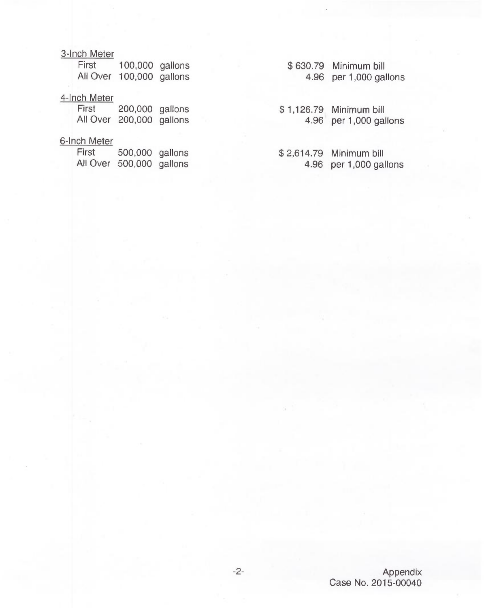## 3-Inch Meter

| First    | 100,000 gallons |  |
|----------|-----------------|--|
| All Over | 100,000 gallons |  |

### 4-Inch Meter

| First | 200,000          | gallons |
|-------|------------------|---------|
|       | All Over 200,000 | gallons |

# 6-Inch Meter

| First    | 500,000 | gallons |
|----------|---------|---------|
| All Over | 500,000 | gallons |

\$ 630.79 Minimum bill 4.96 per 1,000 gallons

\$ 1,126.79 Minimum bill 4.96 per 1,000 gallons

\$ 2,614.79 Minimum bill 4.96 per 1,000 gallons